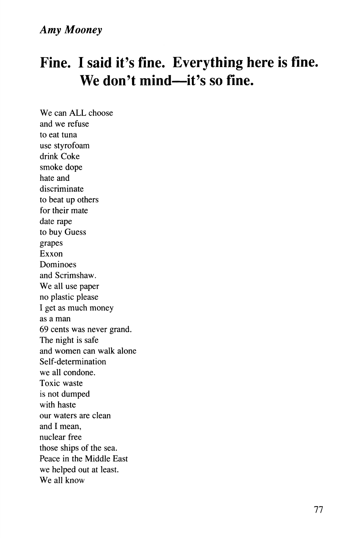## **Fine. I said it's fine. Everything here is fine. We don't mind—it's so fine.**

We can ALL choose and we refuse to eat tuna use styrofoam drink Coke smoke dope hate and discriminate to beat up others for their mate date rape to buy Guess grapes Exxon Dominoes and Scrimshaw. We all use paper no plastic please I get as much money as a man 69 cents was never grand. The night is safe and women can walk alone Self-determination we all condone. Toxic waste is not dumped with haste our waters are clean and I mean, nuclear free those ships of the sea. Peace in the Middle East we helped out at least. We all know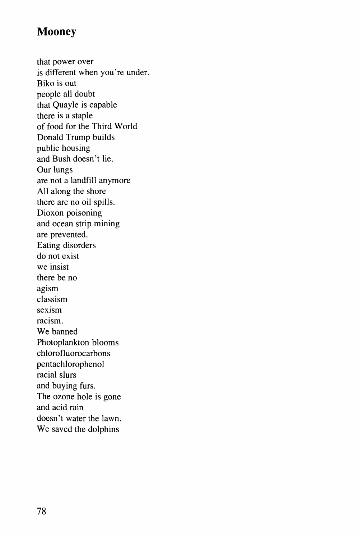## **Mooney**

that power over is different when you're under. Biko is out people all doubt that Quayle is capable there is a staple of food for the Third World Donald Trump builds public housing and Bush doesn't lie. Our lungs are not a landfill anymore All along the shore there are no oil spills. Dioxon poisoning and ocean strip mining are prevented. Eating disorders do not exist we insist there be no agism classism sexism racism. We banned Photoplankton blooms chlorofluorocarbons pentachlorophenol racial slurs and buying furs. The ozone hole is gone and acid rain doesn't water the lawn. We saved the dolphins